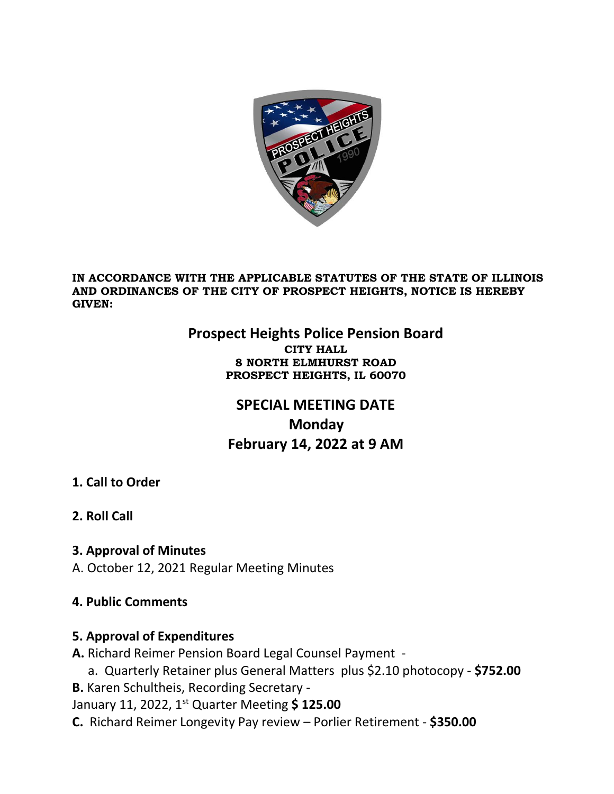

#### **IN ACCORDANCE WITH THE APPLICABLE STATUTES OF THE STATE OF ILLINOIS AND ORDINANCES OF THE CITY OF PROSPECT HEIGHTS, NOTICE IS HEREBY GIVEN:**

#### **Prospect Heights Police Pension Board CITY HALL 8 NORTH ELMHURST ROAD PROSPECT HEIGHTS, IL 60070**

# **SPECIAL MEETING DATE Monday February 14, 2022 at 9 AM**

### **1. Call to Order**

### **2. Roll Call**

### **3. Approval of Minutes**

A. October 12, 2021 Regular Meeting Minutes

### **4. Public Comments**

### **5. Approval of Expenditures**

- **A.** Richard Reimer Pension Board Legal Counsel Payment
	- a. Quarterly Retainer plus General Matters plus \$2.10 photocopy **\$752.00**
- **B.** Karen Schultheis, Recording Secretary -

January 11, 2022, 1st Quarter Meeting **\$ 125.00**

**C.** Richard Reimer Longevity Pay review – Porlier Retirement - **\$350.00**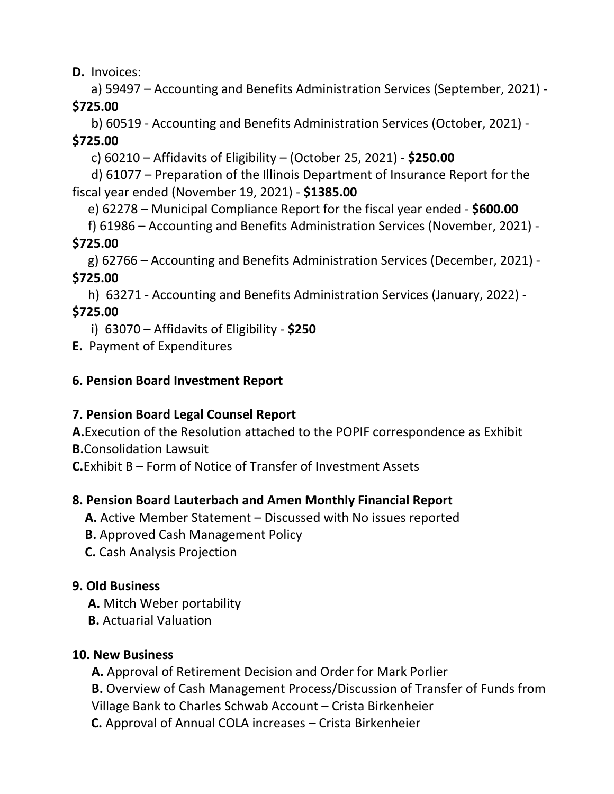**D.** Invoices:

 a) 59497 – Accounting and Benefits Administration Services (September, 2021) - **\$725.00**

 b) 60519 - Accounting and Benefits Administration Services (October, 2021) - **\$725.00**

c) 60210 – Affidavits of Eligibility – (October 25, 2021) - **\$250.00**

d) 61077 – Preparation of the Illinois Department of Insurance Report for the fiscal year ended (November 19, 2021) - **\$1385.00**

e) 62278 – Municipal Compliance Report for the fiscal year ended - **\$600.00**

f) 61986 – Accounting and Benefits Administration Services (November, 2021) - **\$725.00**

 g) 62766 – Accounting and Benefits Administration Services (December, 2021) - **\$725.00**

h) 63271 - Accounting and Benefits Administration Services (January, 2022) - **\$725.00**

i) 63070 – Affidavits of Eligibility - **\$250**

**E.** Payment of Expenditures

## **6. Pension Board Investment Report**

## **7. Pension Board Legal Counsel Report**

- **A.**Execution of the Resolution attached to the POPIF correspondence as Exhibit
- **B.**Consolidation Lawsuit
- **C.**Exhibit B Form of Notice of Transfer of Investment Assets

## **8. Pension Board Lauterbach and Amen Monthly Financial Report**

- **A.** Active Member Statement Discussed with No issues reported
- **B.** Approved Cash Management Policy
- **C.** Cash Analysis Projection

## **9. Old Business**

- **A.** Mitch Weber portability
- **B.** Actuarial Valuation

## **10. New Business**

**A.** Approval of Retirement Decision and Order for Mark Porlier

**B.** Overview of Cash Management Process/Discussion of Transfer of Funds from

Village Bank to Charles Schwab Account – Crista Birkenheier

**C.** Approval of Annual COLA increases – Crista Birkenheier